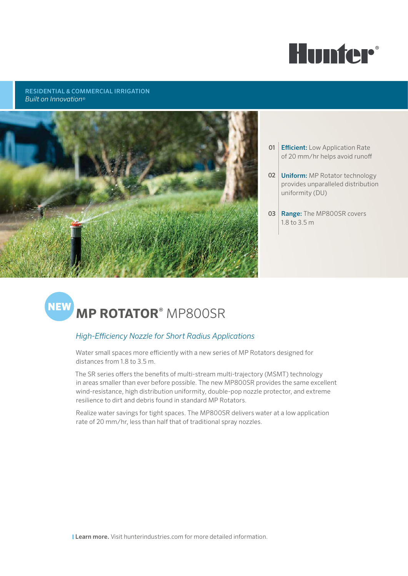

RESIDENTIAL & COMMERCIAL IRRIGATION *Built on Innovation*®



- **01 Efficient:** Low Application Rate of 20 mm/hr helps avoid runoff
- 02 **Uniform:** MP Rotator technology provides unparalleled distribution uniformity (DU)
- 03 Range: The MP800SR covers 1.8 to 3.5 m

# **MEW MP ROTATOR<sup>®</sup> MP800SR**

## *High-Efficiency Nozzle for Short Radius Applications*

Water small spaces more efficiently with a new series of MP Rotators designed for distances from 1.8 to 3.5 m.

The SR series offers the benefits of multi-stream multi-trajectory (MSMT) technology in areas smaller than ever before possible. The new MP800SR provides the same excellent wind-resistance, high distribution uniformity, double-pop nozzle protector, and extreme resilience to dirt and debris found in standard MP Rotators.

Realize water savings for tight spaces. The MP800SR delivers water at a low application rate of 20 mm/hr, less than half that of traditional spray nozzles.